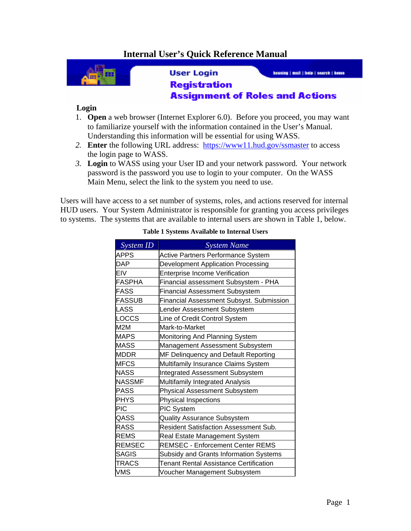## **Internal User's Quick Reference Manual**



**User Login** 

housing | mail | hole | search | home

## **Registration Assignment of Roles and Actions**

## **Login**

- 1. **Open** a web browser (Internet Explorer 6.0). Before you proceed, you may want to familiarize yourself with the information contained in the User's Manual. Understanding this information will be essential for using WASS.
- *2.* **Enter** the following URL address: https://www11.hud.gov/ssmaster to access the login page to WASS.
- *3.* **Login** to WASS using your User ID and your network password. Your network password is the password you use to login to your computer.On the WASS Main Menu, select the link to the system you need to use.

Users will have access to a set number of systems, roles, and actions reserved for internal HUD users. Your System Administrator is responsible for granting you access privileges to systems. The systems that are available to internal users are shown in Table 1, below.

| System ID     | <b>System Name</b>                           |
|---------------|----------------------------------------------|
| <b>APPS</b>   | Active Partners Performance System           |
| <b>DAP</b>    | Development Application Processing           |
| <b>EIV</b>    | <b>Enterprise Income Verification</b>        |
| <b>FASPHA</b> | Financial assessment Subsystem - PHA         |
| <b>FASS</b>   | <b>Financial Assessment Subsystem</b>        |
| <b>FASSUB</b> | Financial Assessment Subsyst. Submission     |
| LASS          | Lender Assessment Subsystem                  |
| LOCCS         | Line of Credit Control System                |
| M2M           | Mark-to-Market                               |
| <b>MAPS</b>   | Monitoring And Planning System               |
| <b>MASS</b>   | Management Assessment Subsystem              |
| <b>MDDR</b>   | MF Delinquency and Default Reporting         |
| <b>MFCS</b>   | Multifamily Insurance Claims System          |
| <b>NASS</b>   | <b>Integrated Assessment Subsystem</b>       |
| <b>NASSMF</b> | Multifamily Integrated Analysis              |
| <b>PASS</b>   | <b>Physical Assessment Subsystem</b>         |
| <b>PHYS</b>   | Physical Inspections                         |
| <b>PIC</b>    | PIC System                                   |
| QASS          | <b>Quality Assurance Subsystem</b>           |
| <b>RASS</b>   | <b>Resident Satisfaction Assessment Sub.</b> |
| <b>REMS</b>   | Real Estate Management System                |
| <b>REMSEC</b> | <b>REMSEC - Enforcement Center REMS</b>      |
| <b>SAGIS</b>  | Subsidy and Grants Information Systems       |
| <b>TRACS</b>  | Tenant Rental Assistance Certification       |
| <b>VMS</b>    | Voucher Management Subsystem                 |

## **Table 1 Systems Available to Internal Users**